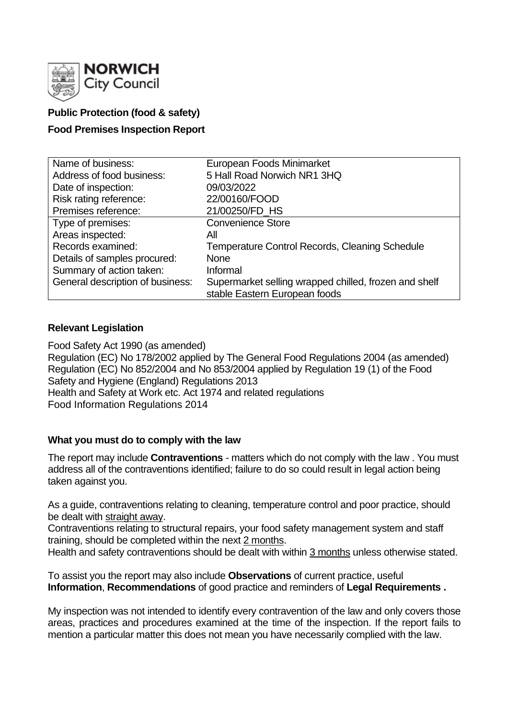

# **Public Protection (food & safety)**

## **Food Premises Inspection Report**

| Name of business:                | European Foods Minimarket                             |
|----------------------------------|-------------------------------------------------------|
| Address of food business:        | 5 Hall Road Norwich NR1 3HQ                           |
| Date of inspection:              | 09/03/2022                                            |
| Risk rating reference:           | 22/00160/FOOD                                         |
| Premises reference:              | 21/00250/FD_HS                                        |
| Type of premises:                | <b>Convenience Store</b>                              |
| Areas inspected:                 | Αll                                                   |
| Records examined:                | <b>Temperature Control Records, Cleaning Schedule</b> |
| Details of samples procured:     | <b>None</b>                                           |
| Summary of action taken:         | Informal                                              |
| General description of business: | Supermarket selling wrapped chilled, frozen and shelf |
|                                  | stable Eastern European foods                         |

## **Relevant Legislation**

Food Safety Act 1990 (as amended) Regulation (EC) No 178/2002 applied by The General Food Regulations 2004 (as amended) Regulation (EC) No 852/2004 and No 853/2004 applied by Regulation 19 (1) of the Food Safety and Hygiene (England) Regulations 2013 Health and Safety at Work etc. Act 1974 and related regulations Food Information Regulations 2014

## **What you must do to comply with the law**

The report may include **Contraventions** - matters which do not comply with the law . You must address all of the contraventions identified; failure to do so could result in legal action being taken against you.

As a guide, contraventions relating to cleaning, temperature control and poor practice, should be dealt with straight away.

Contraventions relating to structural repairs, your food safety management system and staff training, should be completed within the next 2 months.

Health and safety contraventions should be dealt with within 3 months unless otherwise stated.

To assist you the report may also include **Observations** of current practice, useful **Information**, **Recommendations** of good practice and reminders of **Legal Requirements .**

My inspection was not intended to identify every contravention of the law and only covers those areas, practices and procedures examined at the time of the inspection. If the report fails to mention a particular matter this does not mean you have necessarily complied with the law.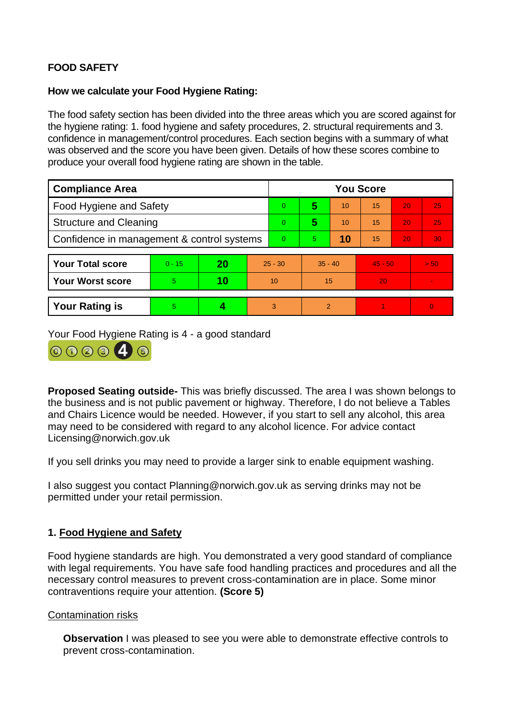# **FOOD SAFETY**

## **How we calculate your Food Hygiene Rating:**

The food safety section has been divided into the three areas which you are scored against for the hygiene rating: 1. food hygiene and safety procedures, 2. structural requirements and 3. confidence in management/control procedures. Each section begins with a summary of what was observed and the score you have been given. Details of how these scores combine to produce your overall food hygiene rating are shown in the table.

| <b>Compliance Area</b>                     |          |    |                | <b>You Score</b> |           |    |           |    |                 |  |
|--------------------------------------------|----------|----|----------------|------------------|-----------|----|-----------|----|-----------------|--|
| Food Hygiene and Safety                    |          |    |                | $\overline{0}$   | 5         | 10 | 15        | 20 | 25              |  |
| <b>Structure and Cleaning</b>              |          |    |                | $\overline{0}$   | 5         | 10 | 15        | 20 | 25 <sub>1</sub> |  |
| Confidence in management & control systems |          |    | $\overline{0}$ | 5.               | 10        | 15 | 20        | 30 |                 |  |
|                                            |          |    |                |                  |           |    |           |    |                 |  |
| <b>Your Total score</b>                    | $0 - 15$ | 20 | $25 - 30$      |                  | $35 - 40$ |    | $45 - 50$ |    | > 50            |  |
| <b>Your Worst score</b>                    | 5        | 10 | 10             |                  | 15        |    | 20        |    |                 |  |
|                                            |          |    |                |                  |           |    |           |    |                 |  |
| <b>Your Rating is</b>                      | 5        | 4  |                | 3                | 2         |    |           |    | $\Omega$        |  |

Your Food Hygiene Rating is 4 - a good standard



**Proposed Seating outside-** This was briefly discussed. The area I was shown belongs to the business and is not public pavement or highway. Therefore, I do not believe a Tables and Chairs Licence would be needed. However, if you start to sell any alcohol, this area may need to be considered with regard to any alcohol licence. For advice contact Licensing@norwich.gov.uk

If you sell drinks you may need to provide a larger sink to enable equipment washing.

I also suggest you contact Planning@norwich.gov.uk as serving drinks may not be permitted under your retail permission.

# **1. Food Hygiene and Safety**

Food hygiene standards are high. You demonstrated a very good standard of compliance with legal requirements. You have safe food handling practices and procedures and all the necessary control measures to prevent cross-contamination are in place. Some minor contraventions require your attention. **(Score 5)**

## Contamination risks

**Observation** I was pleased to see you were able to demonstrate effective controls to prevent cross-contamination.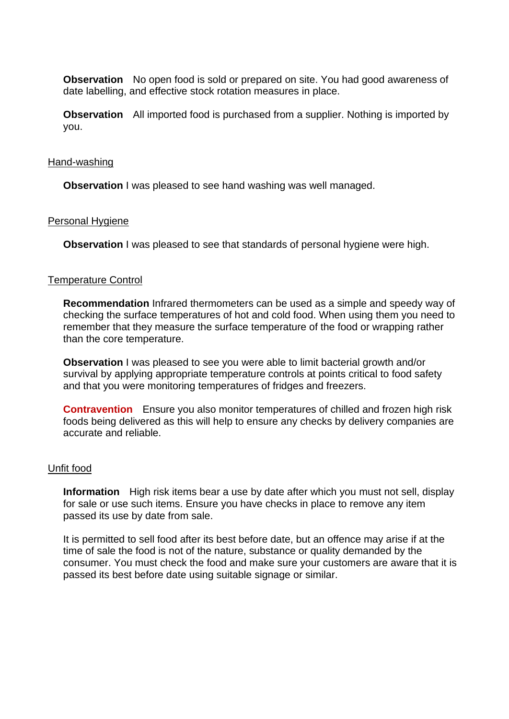**Observation** No open food is sold or prepared on site. You had good awareness of date labelling, and effective stock rotation measures in place.

**Observation** All imported food is purchased from a supplier. Nothing is imported by you.

### Hand-washing

**Observation** I was pleased to see hand washing was well managed.

### Personal Hygiene

**Observation** I was pleased to see that standards of personal hygiene were high.

### Temperature Control

**Recommendation** Infrared thermometers can be used as a simple and speedy way of checking the surface temperatures of hot and cold food. When using them you need to remember that they measure the surface temperature of the food or wrapping rather than the core temperature.

**Observation** I was pleased to see you were able to limit bacterial growth and/or survival by applying appropriate temperature controls at points critical to food safety and that you were monitoring temperatures of fridges and freezers.

**Contravention** Ensure you also monitor temperatures of chilled and frozen high risk foods being delivered as this will help to ensure any checks by delivery companies are accurate and reliable.

#### Unfit food

**Information** High risk items bear a use by date after which you must not sell, display for sale or use such items. Ensure you have checks in place to remove any item passed its use by date from sale.

It is permitted to sell food after its best before date, but an offence may arise if at the time of sale the food is not of the nature, substance or quality demanded by the consumer. You must check the food and make sure your customers are aware that it is passed its best before date using suitable signage or similar.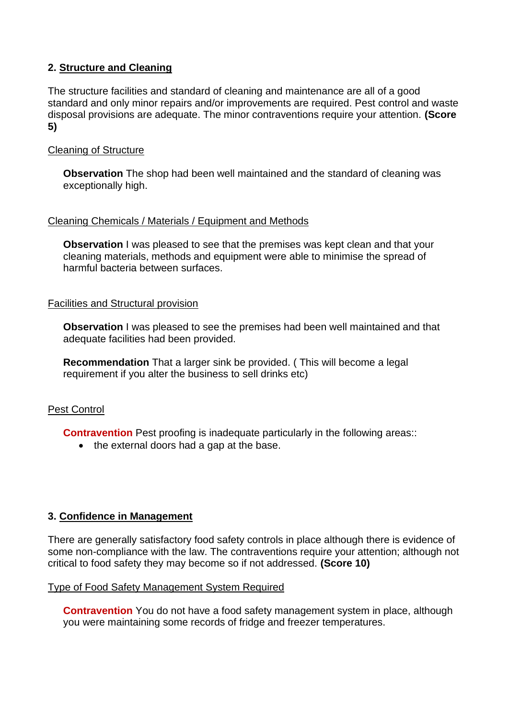# **2. Structure and Cleaning**

The structure facilities and standard of cleaning and maintenance are all of a good standard and only minor repairs and/or improvements are required. Pest control and waste disposal provisions are adequate. The minor contraventions require your attention. **(Score 5)**

## Cleaning of Structure

**Observation** The shop had been well maintained and the standard of cleaning was exceptionally high.

## Cleaning Chemicals / Materials / Equipment and Methods

**Observation** I was pleased to see that the premises was kept clean and that your cleaning materials, methods and equipment were able to minimise the spread of harmful bacteria between surfaces.

## Facilities and Structural provision

**Observation** I was pleased to see the premises had been well maintained and that adequate facilities had been provided.

**Recommendation** That a larger sink be provided. ( This will become a legal requirement if you alter the business to sell drinks etc)

# Pest Control

**Contravention** Pest proofing is inadequate particularly in the following areas::

• the external doors had a gap at the base.

# **3. Confidence in Management**

There are generally satisfactory food safety controls in place although there is evidence of some non-compliance with the law. The contraventions require your attention; although not critical to food safety they may become so if not addressed. **(Score 10)**

## Type of Food Safety Management System Required

**Contravention** You do not have a food safety management system in place, although you were maintaining some records of fridge and freezer temperatures.